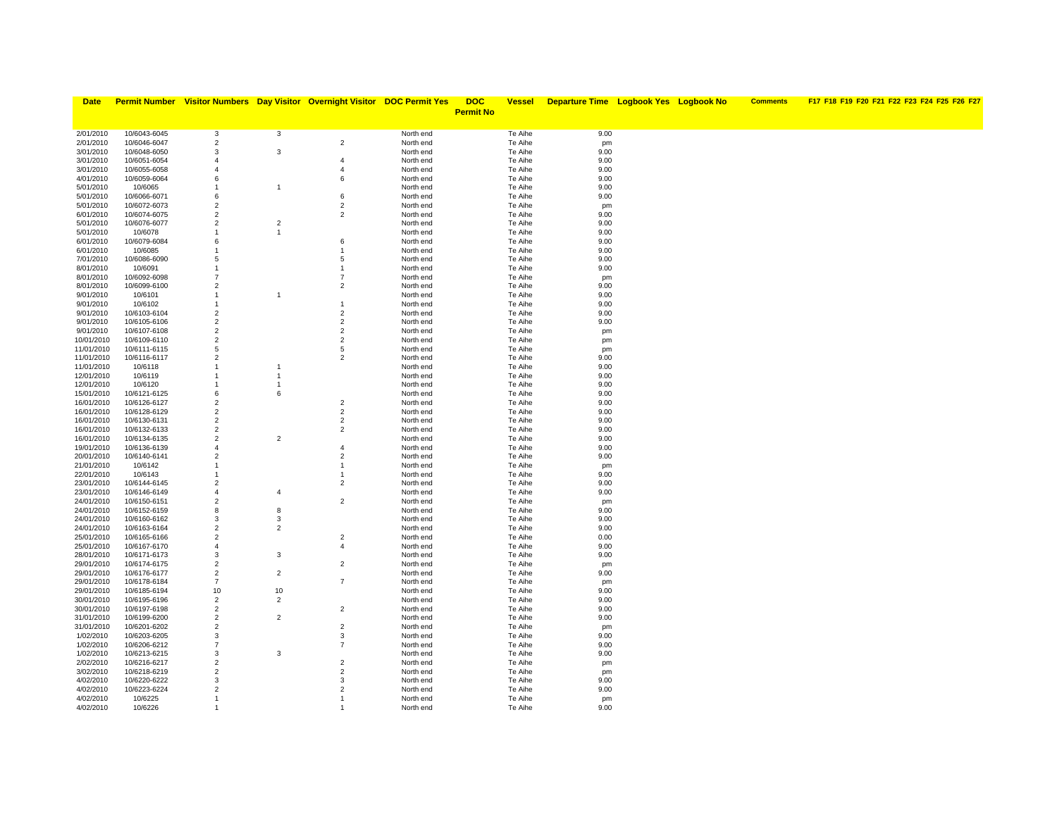| <b>Date</b>              |                              |                                  |                      | <b>Permit Number</b> Visitor Numbers Day Visitor Overnight Visitor DOC Permit Yes |                        | <b>DOC</b>       | <b>Vessel</b>      | <b>Departure Time Logbook Yes Logbook No</b> |  | <b>Comments</b> | F17 F18 F19 F20 F21 F22 F23 F24 F25 F26 F27 |
|--------------------------|------------------------------|----------------------------------|----------------------|-----------------------------------------------------------------------------------|------------------------|------------------|--------------------|----------------------------------------------|--|-----------------|---------------------------------------------|
|                          |                              |                                  |                      |                                                                                   |                        | <b>Permit No</b> |                    |                                              |  |                 |                                             |
|                          |                              |                                  |                      |                                                                                   |                        |                  |                    |                                              |  |                 |                                             |
| 2/01/2010                | 10/6043-6045                 | 3                                | $\mathbf{3}$         |                                                                                   | North end              |                  | Te Aihe            | 9.00                                         |  |                 |                                             |
| 2/01/2010                | 10/6046-6047                 | $\overline{2}$                   |                      | $\overline{2}$                                                                    | North end              |                  | Te Aihe            | pm                                           |  |                 |                                             |
| 3/01/2010                | 10/6048-6050                 | 3                                | 3                    |                                                                                   | North end              |                  | Te Aihe            | 9.00                                         |  |                 |                                             |
| 3/01/2010                | 10/6051-6054                 | $\overline{4}$                   |                      | $\overline{4}$                                                                    | North end              |                  | Te Aihe            | 9.00                                         |  |                 |                                             |
| 3/01/2010                | 10/6055-6058                 | $\overline{4}$                   |                      | $\overline{4}$                                                                    | North end              |                  | Te Aihe            | 9.00                                         |  |                 |                                             |
| 4/01/2010                | 10/6059-6064                 | 6                                |                      | 6                                                                                 | North end              |                  | Te Aihe            | 9.00                                         |  |                 |                                             |
| 5/01/2010<br>5/01/2010   | 10/6065<br>10/6066-6071      | $\overline{1}$<br>6              | $\overline{1}$       | 6                                                                                 | North end<br>North end |                  | Te Aihe<br>Te Aihe | 9.00<br>9.00                                 |  |                 |                                             |
| 5/01/2010                | 10/6072-6073                 | $\overline{2}$                   |                      | $\overline{2}$                                                                    | North end              |                  | Te Aihe            | pm                                           |  |                 |                                             |
| 6/01/2010                | 10/6074-6075                 | $\overline{2}$                   |                      | $\overline{2}$                                                                    | North end              |                  | Te Aihe            | 9.00                                         |  |                 |                                             |
| 5/01/2010                | 10/6076-6077                 | $\overline{2}$                   | $\overline{2}$       |                                                                                   | North end              |                  | Te Aihe            | 9.00                                         |  |                 |                                             |
| 5/01/2010                | 10/6078                      | $\overline{1}$                   | $\overline{1}$       |                                                                                   | North end              |                  | Te Aihe            | 9.00                                         |  |                 |                                             |
| 6/01/2010                | 10/6079-6084                 | 6                                |                      | 6                                                                                 | North end              |                  | Te Aihe            | 9.00                                         |  |                 |                                             |
| 6/01/2010                | 10/6085                      | -1                               |                      | -1                                                                                | North end              |                  | Te Aihe            | 9.00                                         |  |                 |                                             |
| 7/01/2010                | 10/6086-6090                 | 5                                |                      | 5                                                                                 | North end              |                  | Te Aihe            | 9.00                                         |  |                 |                                             |
| 8/01/2010                | 10/6091                      | $\overline{1}$                   |                      |                                                                                   | North end              |                  | Te Aihe            | 9.00                                         |  |                 |                                             |
| 8/01/2010                | 10/6092-6098                 | $\overline{7}$                   |                      | $\overline{7}$                                                                    | North end              |                  | Te Aihe            | pm                                           |  |                 |                                             |
| 8/01/2010                | 10/6099-6100                 | $\overline{2}$                   |                      | $\overline{2}$                                                                    | North end              |                  | Te Aihe            | 9.00                                         |  |                 |                                             |
| 9/01/2010                | 10/6101                      | $\overline{1}$                   | $\overline{1}$       |                                                                                   | North end              |                  | Te Aihe            | 9.00                                         |  |                 |                                             |
| 9/01/2010                | 10/6102                      | $\overline{1}$                   |                      | -1                                                                                | North end              |                  | Te Aihe            | 9.00                                         |  |                 |                                             |
| 9/01/2010                | 10/6103-6104                 | $\overline{2}$                   |                      | $\overline{2}$                                                                    | North end              |                  | Te Aihe            | 9.00                                         |  |                 |                                             |
| 9/01/2010                | 10/6105-6106                 | $\overline{2}$                   |                      | $\overline{2}$<br>$\overline{2}$                                                  | North end              |                  | Te Aihe            | 9.00                                         |  |                 |                                             |
| 9/01/2010<br>10/01/2010  | 10/6107-6108<br>10/6109-6110 | $\overline{2}$<br>$\overline{c}$ |                      | $\overline{2}$                                                                    | North end<br>North end |                  | Te Aihe<br>Te Aihe | pm                                           |  |                 |                                             |
| 11/01/2010               | 10/6111-6115                 | 5                                |                      | 5                                                                                 | North end              |                  | Te Aihe            | pm<br>pm                                     |  |                 |                                             |
| 11/01/2010               | 10/6116-6117                 | $\overline{2}$                   |                      | $\overline{2}$                                                                    | North end              |                  | Te Aihe            | 9.00                                         |  |                 |                                             |
| 11/01/2010               | 10/6118                      | $\overline{1}$                   | $\overline{1}$       |                                                                                   | North end              |                  | Te Aihe            | 9.00                                         |  |                 |                                             |
| 12/01/2010               | 10/6119                      | $\overline{1}$                   | $\overline{1}$       |                                                                                   | North end              |                  | Te Aihe            | 9.00                                         |  |                 |                                             |
| 12/01/2010               | 10/6120                      | -1                               | $\overline{1}$       |                                                                                   | North end              |                  | Te Aihe            | 9.00                                         |  |                 |                                             |
| 15/01/2010               | 10/6121-6125                 | 6                                | 6                    |                                                                                   | North end              |                  | Te Aihe            | 9.00                                         |  |                 |                                             |
| 16/01/2010               | 10/6126-6127                 | $\overline{2}$                   |                      | $\overline{2}$                                                                    | North end              |                  | Te Aihe            | 9.00                                         |  |                 |                                             |
| 16/01/2010               | 10/6128-6129                 | $\overline{2}$                   |                      | $\overline{2}$                                                                    | North end              |                  | Te Aihe            | 9.00                                         |  |                 |                                             |
| 16/01/2010               | 10/6130-6131                 | $\overline{2}$                   |                      | $\overline{2}$                                                                    | North end              |                  | Te Aihe            | 9.00                                         |  |                 |                                             |
| 16/01/2010               | 10/6132-6133                 | $\overline{c}$                   |                      | $\overline{2}$                                                                    | North end              |                  | Te Aihe            | 9.00                                         |  |                 |                                             |
| 16/01/2010               | 10/6134-6135                 | $\overline{c}$                   | $\overline{2}$       |                                                                                   | North end              |                  | Te Aihe            | 9.00                                         |  |                 |                                             |
| 19/01/2010               | 10/6136-6139                 | $\overline{4}$                   |                      | $\overline{4}$                                                                    | North end              |                  | Te Aihe            | 9.00                                         |  |                 |                                             |
| 20/01/2010               | 10/6140-6141                 | $\overline{c}$                   |                      | $\overline{2}$                                                                    | North end              |                  | Te Aihe            | 9.00                                         |  |                 |                                             |
| 21/01/2010<br>22/01/2010 | 10/6142<br>10/6143           | $\overline{1}$<br>$\overline{1}$ |                      | $\mathbf{1}$                                                                      | North end<br>North end |                  | Te Aihe<br>Te Aihe | pm<br>9.00                                   |  |                 |                                             |
| 23/01/2010               | 10/6144-6145                 | $\overline{c}$                   |                      | $\overline{2}$                                                                    | North end              |                  | Te Aihe            | 9.00                                         |  |                 |                                             |
| 23/01/2010               | 10/6146-6149                 | $\overline{4}$                   | $\overline{4}$       |                                                                                   | North end              |                  | Te Aihe            | 9.00                                         |  |                 |                                             |
| 24/01/2010               | 10/6150-6151                 | $\overline{c}$                   |                      | $\overline{2}$                                                                    | North end              |                  | Te Aihe            | pm                                           |  |                 |                                             |
| 24/01/2010               | 10/6152-6159                 | 8                                | 8                    |                                                                                   | North end              |                  | Te Aihe            | 9.00                                         |  |                 |                                             |
| 24/01/2010               | 10/6160-6162                 | 3                                | 3                    |                                                                                   | North end              |                  | Te Aihe            | 9.00                                         |  |                 |                                             |
| 24/01/2010               | 10/6163-6164                 | $\overline{2}$                   | $\overline{2}$       |                                                                                   | North end              |                  | Te Aihe            | 9.00                                         |  |                 |                                             |
| 25/01/2010               | 10/6165-6166                 | $\overline{c}$                   |                      | $\overline{2}$                                                                    | North end              |                  | Te Aihe            | 0.00                                         |  |                 |                                             |
| 25/01/2010               | 10/6167-6170                 | $\overline{4}$                   |                      | $\overline{4}$                                                                    | North end              |                  | Te Aihe            | 9.00                                         |  |                 |                                             |
| 28/01/2010               | 10/6171-6173                 | $\mathbf{3}$                     | 3                    |                                                                                   | North end              |                  | Te Aihe            | 9.00                                         |  |                 |                                             |
| 29/01/2010               | 10/6174-6175                 | $\overline{c}$                   |                      | $\overline{2}$                                                                    | North end              |                  | Te Aihe            | pm                                           |  |                 |                                             |
| 29/01/2010               | 10/6176-6177                 | $\overline{c}$<br>$\overline{7}$ | $\overline{2}$       | $\overline{7}$                                                                    | North end              |                  | Te Aihe            | 9.00                                         |  |                 |                                             |
| 29/01/2010               | 10/6178-6184                 | 10                               |                      |                                                                                   | North end              |                  | Te Aihe            | pm                                           |  |                 |                                             |
| 29/01/2010<br>30/01/2010 | 10/6185-6194<br>10/6195-6196 | $\overline{2}$                   | 10<br>$\overline{2}$ |                                                                                   | North end<br>North end |                  | Te Aihe<br>Te Aihe | 9.00<br>9.00                                 |  |                 |                                             |
| 30/01/2010               | 10/6197-6198                 | $\overline{\mathbf{c}}$          |                      | $\overline{2}$                                                                    | North end              |                  | Te Aihe            | 9.00                                         |  |                 |                                             |
| 31/01/2010               | 10/6199-6200                 | $\overline{c}$                   | $\overline{2}$       |                                                                                   | North end              |                  | Te Aihe            | 9.00                                         |  |                 |                                             |
| 31/01/2010               | 10/6201-6202                 | $\overline{2}$                   |                      | $\overline{2}$                                                                    | North end              |                  | Te Aihe            | pm                                           |  |                 |                                             |
| 1/02/2010                | 10/6203-6205                 | 3                                |                      | 3                                                                                 | North end              |                  | Te Aihe            | 9.00                                         |  |                 |                                             |
| 1/02/2010                | 10/6206-6212                 | $\overline{7}$                   |                      | $\overline{7}$                                                                    | North end              |                  | Te Aihe            | 9.00                                         |  |                 |                                             |
| 1/02/2010                | 10/6213-6215                 | 3                                | 3                    |                                                                                   | North end              |                  | Te Aihe            | 9.00                                         |  |                 |                                             |
| 2/02/2010                | 10/6216-6217                 | $\overline{c}$                   |                      | $\overline{2}$                                                                    | North end              |                  | Te Aihe            | pm                                           |  |                 |                                             |
| 3/02/2010                | 10/6218-6219                 | $\overline{2}$                   |                      | $\overline{2}$                                                                    | North end              |                  | Te Aihe            | pm                                           |  |                 |                                             |
| 4/02/2010                | 10/6220-6222                 | 3                                |                      | 3                                                                                 | North end              |                  | Te Aihe            | 9.00                                         |  |                 |                                             |
| 4/02/2010                | 10/6223-6224                 | $\overline{2}$                   |                      | $\overline{2}$                                                                    | North end              |                  | Te Aihe            | 9.00                                         |  |                 |                                             |
| 4/02/2010                | 10/6225                      | $\overline{1}$                   |                      |                                                                                   | North end              |                  | Te Aihe            | pm                                           |  |                 |                                             |
| 4/02/2010                | 10/6226                      | $\overline{1}$                   |                      |                                                                                   | North end              |                  | Te Aihe            | 9.00                                         |  |                 |                                             |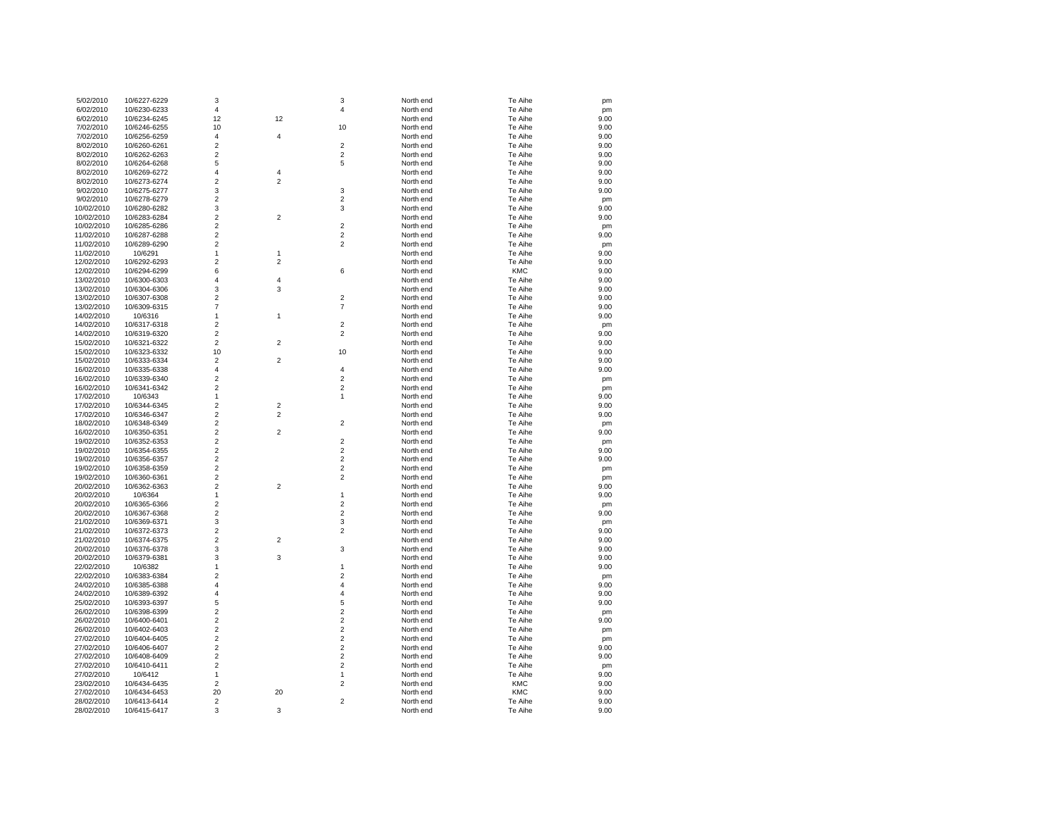| 5/02/2010  | 10/6227-6229 | 3                       |                | 3                       | North end | Te Aihe    | pm   |
|------------|--------------|-------------------------|----------------|-------------------------|-----------|------------|------|
| 6/02/2010  | 10/6230-6233 | $\overline{4}$          |                | 4                       | North end | Te Aihe    | pm   |
| 6/02/2010  | 10/6234-6245 | 12                      | 12             |                         | North end | Te Aihe    | 9.00 |
| 7/02/2010  | 10/6246-6255 | 10                      |                | 10                      | North end | Te Aihe    | 9.00 |
| 7/02/2010  | 10/6256-6259 | 4                       | $\overline{4}$ |                         | North end | Te Aihe    | 9.00 |
| 8/02/2010  | 10/6260-6261 | $\overline{2}$          |                | 2                       | North end | Te Aihe    | 9.00 |
| 8/02/2010  | 10/6262-6263 | $\mathbf 2$             |                | $\overline{\mathbf{c}}$ | North end | Te Aihe    | 9.00 |
| 8/02/2010  | 10/6264-6268 | 5                       |                | 5                       | North end | Te Aihe    | 9.00 |
| 8/02/2010  | 10/6269-6272 | $\overline{4}$          | $\overline{4}$ |                         | North end | Te Aihe    | 9.00 |
|            |              | $\overline{2}$          | $\overline{2}$ |                         |           | Te Aihe    | 9.00 |
| 8/02/2010  | 10/6273-6274 |                         |                |                         | North end |            |      |
| 9/02/2010  | 10/6275-6277 | 3                       |                | 3                       | North end | Te Aihe    | 9.00 |
| 9/02/2010  | 10/6278-6279 | $\overline{2}$          |                | $\overline{2}$          | North end | Te Aihe    | pm   |
| 10/02/2010 | 10/6280-6282 | 3                       |                | 3                       | North end | Te Aihe    | 9.00 |
| 10/02/2010 | 10/6283-6284 | $\overline{2}$          | $\overline{2}$ |                         | North end | Te Aihe    | 9.00 |
| 10/02/2010 | 10/6285-6286 | $\sqrt{2}$              |                | $\overline{2}$          | North end | Te Aihe    | pm   |
| 11/02/2010 | 10/6287-6288 | $\overline{c}$          |                | $\overline{\mathbf{c}}$ | North end | Te Aihe    | 9.00 |
| 11/02/2010 | 10/6289-6290 | $\overline{2}$          |                | $\overline{2}$          | North end | Te Aihe    | pm   |
| 11/02/2010 | 10/6291      | $\mathbf{1}$            | $\mathbf{1}$   |                         | North end | Te Aihe    | 9.00 |
| 12/02/2010 | 10/6292-6293 | $\overline{2}$          | $\overline{2}$ |                         | North end | Te Aihe    | 9.00 |
| 12/02/2010 | 10/6294-6299 | 6                       |                | 6                       | North end | <b>KMC</b> | 9.00 |
| 13/02/2010 | 10/6300-6303 | $\overline{4}$          | $\overline{4}$ |                         | North end | Te Aihe    | 9.00 |
| 13/02/2010 | 10/6304-6306 | 3                       | 3              |                         | North end | Te Aihe    | 9.00 |
| 13/02/2010 | 10/6307-6308 | $\overline{c}$          |                | $\overline{\mathbf{c}}$ | North end | Te Aihe    | 9.00 |
| 13/02/2010 | 10/6309-6315 | $\overline{7}$          |                | $\overline{7}$          | North end | Te Aihe    | 9.00 |
| 14/02/2010 | 10/6316      | 1                       | 1              |                         | North end | Te Aihe    | 9.00 |
| 14/02/2010 | 10/6317-6318 | $\overline{2}$          |                | $\overline{\mathbf{c}}$ | North end | Te Aihe    | pm   |
|            |              | $\sqrt{2}$              |                | $\overline{\mathbf{c}}$ |           | Te Aihe    |      |
| 14/02/2010 | 10/6319-6320 |                         |                |                         | North end |            | 9.00 |
| 15/02/2010 | 10/6321-6322 | $\overline{2}$          | $\mathbf 2$    |                         | North end | Te Aihe    | 9.00 |
| 15/02/2010 | 10/6323-6332 | 10                      |                | 10                      | North end | Te Aihe    | 9.00 |
| 15/02/2010 | 10/6333-6334 | $\overline{2}$          | $\overline{2}$ |                         | North end | Te Aihe    | 9.00 |
| 16/02/2010 | 10/6335-6338 | $\overline{4}$          |                | $\overline{4}$          | North end | Te Aihe    | 9.00 |
| 16/02/2010 | 10/6339-6340 | $\overline{c}$          |                | $\overline{c}$          | North end | Te Aihe    | pm   |
| 16/02/2010 | 10/6341-6342 | $\overline{c}$          |                | $\overline{2}$          | North end | Te Aihe    | pm   |
| 17/02/2010 | 10/6343      | 1                       |                | 1                       | North end | Te Aihe    | 9.00 |
| 17/02/2010 | 10/6344-6345 | $\overline{c}$          | $\overline{2}$ |                         | North end | Te Aihe    | 9.00 |
| 17/02/2010 | 10/6346-6347 | $\overline{2}$          | $\overline{2}$ |                         | North end | Te Aihe    | 9.00 |
| 18/02/2010 | 10/6348-6349 | $\overline{2}$          |                | $\overline{\mathbf{c}}$ | North end | Te Aihe    | pm   |
| 16/02/2010 | 10/6350-6351 | $\overline{2}$          | $\overline{2}$ |                         | North end | Te Aihe    | 9.00 |
| 19/02/2010 | 10/6352-6353 | $\sqrt{2}$              |                | $\boldsymbol{2}$        | North end | Te Aihe    | pm   |
| 19/02/2010 | 10/6354-6355 | $\mathbf 2$             |                | $\overline{\mathbf{c}}$ | North end | Te Aihe    | 9.00 |
| 19/02/2010 | 10/6356-6357 | $\overline{2}$          |                | $\overline{\mathbf{c}}$ | North end | Te Aihe    | 9.00 |
| 19/02/2010 | 10/6358-6359 | $\overline{2}$          |                | $\overline{2}$          | North end | Te Aihe    | pm   |
| 19/02/2010 | 10/6360-6361 | $\overline{c}$          |                | $\overline{\mathbf{c}}$ | North end | Te Aihe    | pm   |
| 20/02/2010 | 10/6362-6363 | 2                       | $\overline{2}$ |                         | North end | Te Aihe    | 9.00 |
| 20/02/2010 |              | $\mathbf{1}$            |                | $\mathbf{1}$            | North end | Te Aihe    | 9.00 |
|            | 10/6364      |                         |                |                         |           |            |      |
| 20/02/2010 | 10/6365-6366 | $\overline{2}$          |                | $\overline{c}$          | North end | Te Aihe    | pm   |
| 20/02/2010 | 10/6367-6368 | $\overline{c}$          |                | $\overline{\mathbf{c}}$ | North end | Te Aihe    | 9.00 |
| 21/02/2010 | 10/6369-6371 | 3                       |                | 3                       | North end | Te Aihe    | pm   |
| 21/02/2010 | 10/6372-6373 | $\overline{2}$          |                | $\overline{c}$          | North end | Te Aihe    | 9.00 |
| 21/02/2010 | 10/6374-6375 | $\overline{2}$          | $\overline{2}$ |                         | North end | Te Aihe    | 9.00 |
| 20/02/2010 | 10/6376-6378 | 3                       |                | 3                       | North end | Te Aihe    | 9.00 |
| 20/02/2010 | 10/6379-6381 | 3                       | $\mathsf 3$    |                         | North end | Te Aihe    | 9.00 |
| 22/02/2010 | 10/6382      | $\mathbf{1}$            |                | $\mathbf{1}$            | North end | Te Aihe    | 9.00 |
| 22/02/2010 | 10/6383-6384 | $\overline{2}$          |                | $\overline{\mathbf{c}}$ | North end | Te Aihe    | pm   |
| 24/02/2010 | 10/6385-6388 | 4                       |                | 4                       | North end | Te Aihe    | 9.00 |
| 24/02/2010 | 10/6389-6392 | $\overline{\mathbf{4}}$ |                | 4                       | North end | Te Aihe    | 9.00 |
| 25/02/2010 | 10/6393-6397 | 5                       |                | 5                       | North end | Te Aihe    | 9.00 |
| 26/02/2010 | 10/6398-6399 | $\overline{c}$          |                | $\overline{c}$          | North end | Te Aihe    | pm   |
| 26/02/2010 | 10/6400-6401 | $\overline{c}$          |                | $\overline{\mathbf{c}}$ | North end | Te Aihe    | 9.00 |
| 26/02/2010 | 10/6402-6403 | $\overline{c}$          |                | $\overline{\mathbf{c}}$ | North end | Te Aihe    | pm   |
| 27/02/2010 | 10/6404-6405 | $\overline{2}$          |                | $\overline{\mathbf{c}}$ | North end | Te Aihe    | pm   |
|            |              | $\overline{c}$          |                | $\overline{\mathbf{c}}$ |           | Te Aihe    |      |
| 27/02/2010 | 10/6406-6407 |                         |                |                         | North end |            | 9.00 |
| 27/02/2010 | 10/6408-6409 | $\mathbf 2$             |                | $\mathbf 2$             | North end | Te Aihe    | 9.00 |
| 27/02/2010 | 10/6410-6411 | $\mathbf 2$             |                | $\mathbf 2$             | North end | Te Aihe    | pm   |
| 27/02/2010 | 10/6412      | $\mathbf{1}$            |                | $\mathbf{1}$            | North end | Te Aihe    | 9.00 |
| 23/02/2010 | 10/6434-6435 | $\overline{2}$          |                | $\overline{\mathbf{c}}$ | North end | <b>KMC</b> | 9.00 |
| 27/02/2010 | 10/6434-6453 | 20                      | 20             |                         | North end | <b>KMC</b> | 9.00 |
| 28/02/2010 | 10/6413-6414 | $\overline{2}$          |                | $\overline{\mathbf{c}}$ | North end | Te Aihe    | 9.00 |
| 28/02/2010 | 10/6415-6417 | 3                       | 3              |                         | North end | Te Aihe    | 9.00 |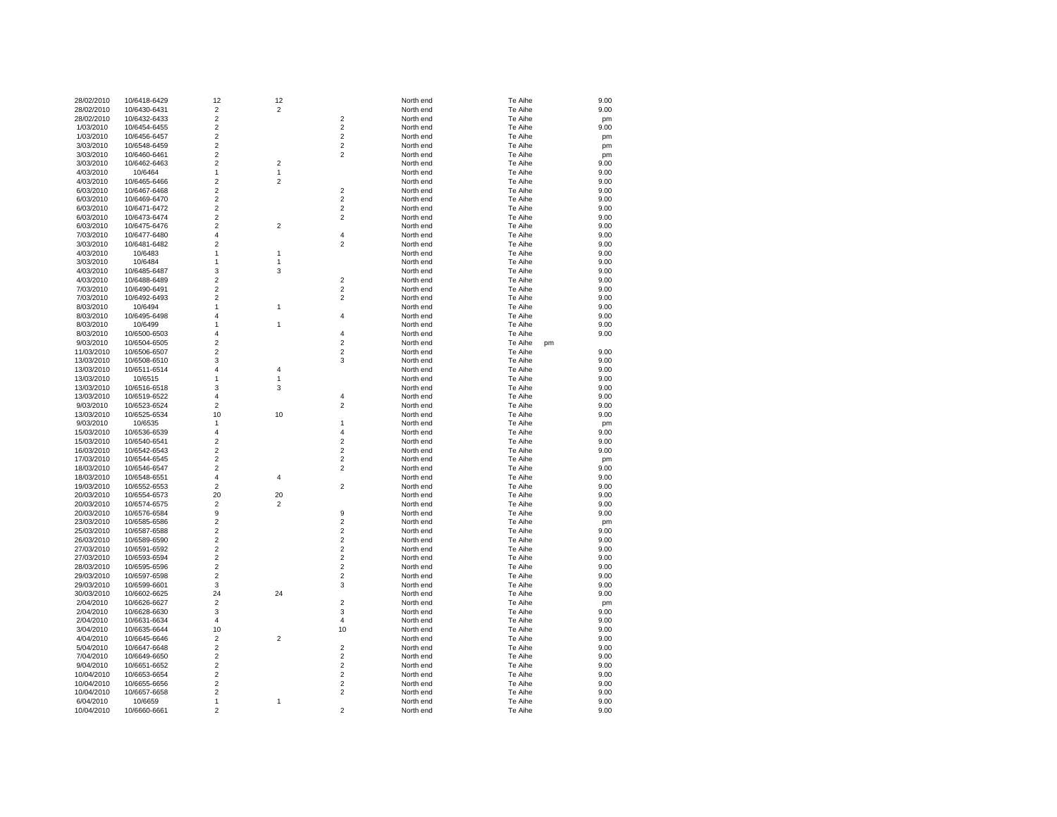| 28/02/2010 | 10/6418-6429 | 12                      | 12             |                         | North end | Te Aihe | 9.00 |
|------------|--------------|-------------------------|----------------|-------------------------|-----------|---------|------|
| 28/02/2010 | 10/6430-6431 | $\overline{\mathbf{c}}$ | $\mathbf 2$    |                         | North end | Te Aihe | 9.00 |
| 28/02/2010 | 10/6432-6433 | $\overline{c}$          |                | $\overline{2}$          | North end | Te Aihe | pm   |
| 1/03/2010  | 10/6454-6455 | $\overline{c}$          |                | $\overline{\mathbf{c}}$ | North end | Te Aihe | 9.00 |
| 1/03/2010  | 10/6456-6457 | $\boldsymbol{2}$        |                | $\mathbf 2$             | North end | Te Aihe | pm   |
| 3/03/2010  | 10/6548-6459 | $\overline{\mathbf{c}}$ |                | $\mathbf 2$             | North end | Te Aihe | pm   |
| 3/03/2010  | 10/6460-6461 | $\overline{2}$          |                | $\overline{2}$          | North end | Te Aihe | pm   |
| 3/03/2010  | 10/6462-6463 | $\boldsymbol{2}$        | $\sqrt{2}$     |                         | North end | Te Aihe | 9.00 |
| 4/03/2010  | 10/6464      | 1                       | $\mathbf{1}$   |                         | North end | Te Aihe | 9.00 |
| 4/03/2010  | 10/6465-6466 | $\overline{2}$          | $\overline{2}$ |                         | North end | Te Aihe | 9.00 |
| 6/03/2010  | 10/6467-6468 | $\boldsymbol{2}$        |                | $\boldsymbol{2}$        | North end | Te Aihe | 9.00 |
| 6/03/2010  | 10/6469-6470 | $\overline{c}$          |                | $\overline{2}$          | North end | Te Aihe | 9.00 |
|            |              |                         |                |                         |           |         |      |
| 6/03/2010  | 10/6471-6472 | $\overline{c}$          |                | $\overline{\mathbf{c}}$ | North end | Te Aihe | 9.00 |
| 6/03/2010  | 10/6473-6474 | $\overline{\mathbf{c}}$ |                | $\overline{\mathbf{c}}$ | North end | Te Aihe | 9.00 |
| 6/03/2010  | 10/6475-6476 | $\overline{c}$          | $\overline{2}$ |                         | North end | Te Aihe | 9.00 |
| 7/03/2010  | 10/6477-6480 | $\overline{\mathbf{4}}$ |                | 4                       | North end | Te Aihe | 9.00 |
| 3/03/2010  | 10/6481-6482 | $\overline{c}$          |                | $\boldsymbol{2}$        | North end | Te Aihe | 9.00 |
| 4/03/2010  | 10/6483      | 1                       | $\mathbf{1}$   |                         | North end | Te Aihe | 9.00 |
| 3/03/2010  | 10/6484      | 1                       | $\mathbf{1}$   |                         | North end | Te Aihe | 9.00 |
| 4/03/2010  | 10/6485-6487 | 3                       | 3              |                         | North end | Te Aihe | 9.00 |
| 4/03/2010  | 10/6488-6489 | $\overline{c}$          |                | $\mathbf 2$             | North end | Te Aihe | 9.00 |
| 7/03/2010  | 10/6490-6491 | $\overline{c}$          |                | $\overline{2}$          | North end | Te Aihe | 9.00 |
| 7/03/2010  | 10/6492-6493 | $\boldsymbol{2}$        |                | $\boldsymbol{2}$        | North end | Te Aihe | 9.00 |
| 8/03/2010  | 10/6494      | 1                       | 1              |                         | North end | Te Aihe | 9.00 |
| 8/03/2010  | 10/6495-6498 | $\overline{4}$          |                | $\overline{4}$          | North end | Te Aihe | 9.00 |
| 8/03/2010  | 10/6499      | 1                       | $\overline{1}$ |                         | North end | Te Aihe | 9.00 |
| 8/03/2010  | 10/6500-6503 | 4                       |                | 4                       | North end | Te Aihe | 9.00 |
| 9/03/2010  | 10/6504-6505 | $\boldsymbol{2}$        |                | $\boldsymbol{2}$        | North end | Te Aihe |      |
|            |              | $\boldsymbol{2}$        |                | $\boldsymbol{2}$        |           | pm      | 9.00 |
| 11/03/2010 | 10/6506-6507 | 3                       |                | 3                       | North end | Te Aihe |      |
| 13/03/2010 | 10/6508-6510 |                         |                |                         | North end | Te Aihe | 9.00 |
| 13/03/2010 | 10/6511-6514 | $\overline{4}$          | $\overline{4}$ |                         | North end | Te Aihe | 9.00 |
| 13/03/2010 | 10/6515      | 1                       | $\mathbf{1}$   |                         | North end | Te Aihe | 9.00 |
| 13/03/2010 | 10/6516-6518 | 3                       | 3              |                         | North end | Te Aihe | 9.00 |
| 13/03/2010 | 10/6519-6522 | $\overline{4}$          |                | 4                       | North end | Te Aihe | 9.00 |
| 9/03/2010  | 10/6523-6524 | $\boldsymbol{2}$        |                | $\mathbf 2$             | North end | Te Aihe | 9.00 |
| 13/03/2010 | 10/6525-6534 | 10                      | 10             |                         | North end | Te Aihe | 9.00 |
| 9/03/2010  | 10/6535      | $\mathbf{1}$            |                | 1                       | North end | Te Aihe | pm   |
| 15/03/2010 | 10/6536-6539 | $\overline{4}$          |                | 4                       | North end | Te Aihe | 9.00 |
| 15/03/2010 | 10/6540-6541 | 2                       |                | $\overline{\mathbf{c}}$ | North end | Te Aihe | 9.00 |
| 16/03/2010 | 10/6542-6543 | $\boldsymbol{2}$        |                | $\mathbf 2$             | North end | Te Aihe | 9.00 |
| 17/03/2010 | 10/6544-6545 | $\overline{c}$          |                | $\overline{\mathbf{c}}$ | North end | Te Aihe | pm   |
| 18/03/2010 | 10/6546-6547 | $\overline{\mathbf{c}}$ |                | $\overline{2}$          | North end | Te Aihe | 9.00 |
| 18/03/2010 | 10/6548-6551 | $\overline{4}$          | $\overline{4}$ |                         | North end | Te Aihe | 9.00 |
| 19/03/2010 | 10/6552-6553 | $\overline{\mathbf{c}}$ |                | $\overline{\mathbf{c}}$ | North end | Te Aihe | 9.00 |
| 20/03/2010 | 10/6554-6573 | 20                      | 20             |                         | North end | Te Aihe | 9.00 |
| 20/03/2010 | 10/6574-6575 | 2                       | $\overline{2}$ |                         | North end | Te Aihe | 9.00 |
|            |              |                         |                | 9                       |           |         |      |
| 20/03/2010 | 10/6576-6584 | 9                       |                |                         | North end | Te Aihe | 9.00 |
| 23/03/2010 | 10/6585-6586 | $\overline{c}$          |                | $\overline{\mathbf{c}}$ | North end | Te Aihe | pm   |
| 25/03/2010 | 10/6587-6588 | $\overline{c}$          |                | $\overline{2}$          | North end | Te Aihe | 9.00 |
| 26/03/2010 | 10/6589-6590 | $\overline{c}$          |                | $\overline{\mathbf{c}}$ | North end | Te Aihe | 9.00 |
| 27/03/2010 | 10/6591-6592 | $\overline{2}$          |                | $\overline{2}$          | North end | Te Aihe | 9.00 |
| 27/03/2010 | 10/6593-6594 | $\mathbf 2$             |                | $\mathbf 2$             | North end | Te Aihe | 9.00 |
| 28/03/2010 | 10/6595-6596 | $\overline{c}$          |                | $\overline{2}$          | North end | Te Aihe | 9.00 |
| 29/03/2010 | 10/6597-6598 | $\overline{\mathbf{c}}$ |                | $\overline{2}$          | North end | Te Aihe | 9.00 |
| 29/03/2010 | 10/6599-6601 | 3                       |                | 3                       | North end | Te Aihe | 9.00 |
| 30/03/2010 | 10/6602-6625 | 24                      | 24             |                         | North end | Te Aihe | 9.00 |
| 2/04/2010  | 10/6626-6627 | $\overline{2}$          |                | $\overline{2}$          | North end | Te Aihe | pm   |
| 2/04/2010  | 10/6628-6630 | 3                       |                | 3                       | North end | Te Aihe | 9.00 |
| 2/04/2010  | 10/6631-6634 | 4                       |                | 4                       | North end | Te Aihe | 9.00 |
| 3/04/2010  | 10/6635-6644 | 10                      |                | 10                      | North end | Te Aihe | 9.00 |
| 4/04/2010  | 10/6645-6646 | $\overline{c}$          | $\sqrt{2}$     |                         | North end | Te Aihe | 9.00 |
| 5/04/2010  | 10/6647-6648 | $\overline{c}$          |                | $\overline{2}$          | North end | Te Aihe | 9.00 |
| 7/04/2010  | 10/6649-6650 | $\overline{c}$          |                | $\overline{\mathbf{c}}$ | North end | Te Aihe | 9.00 |
|            |              |                         |                | $\overline{2}$          |           |         |      |
| 9/04/2010  | 10/6651-6652 | $\boldsymbol{2}$        |                |                         | North end | Te Aihe | 9.00 |
| 10/04/2010 | 10/6653-6654 | $\boldsymbol{2}$        |                | $\overline{2}$          | North end | Te Aihe | 9.00 |
| 10/04/2010 | 10/6655-6656 | $\overline{\mathbf{c}}$ |                | $\mathbf 2$             | North end | Te Aihe | 9.00 |
| 10/04/2010 | 10/6657-6658 | $\overline{2}$          |                | $\overline{2}$          | North end | Te Aihe | 9.00 |
| 6/04/2010  | 10/6659      | 1                       | 1              |                         | North end | Te Aihe | 9.00 |
| 10/04/2010 | 10/6660-6661 | $\overline{2}$          |                | $\overline{2}$          | North end | Te Aihe | 9.00 |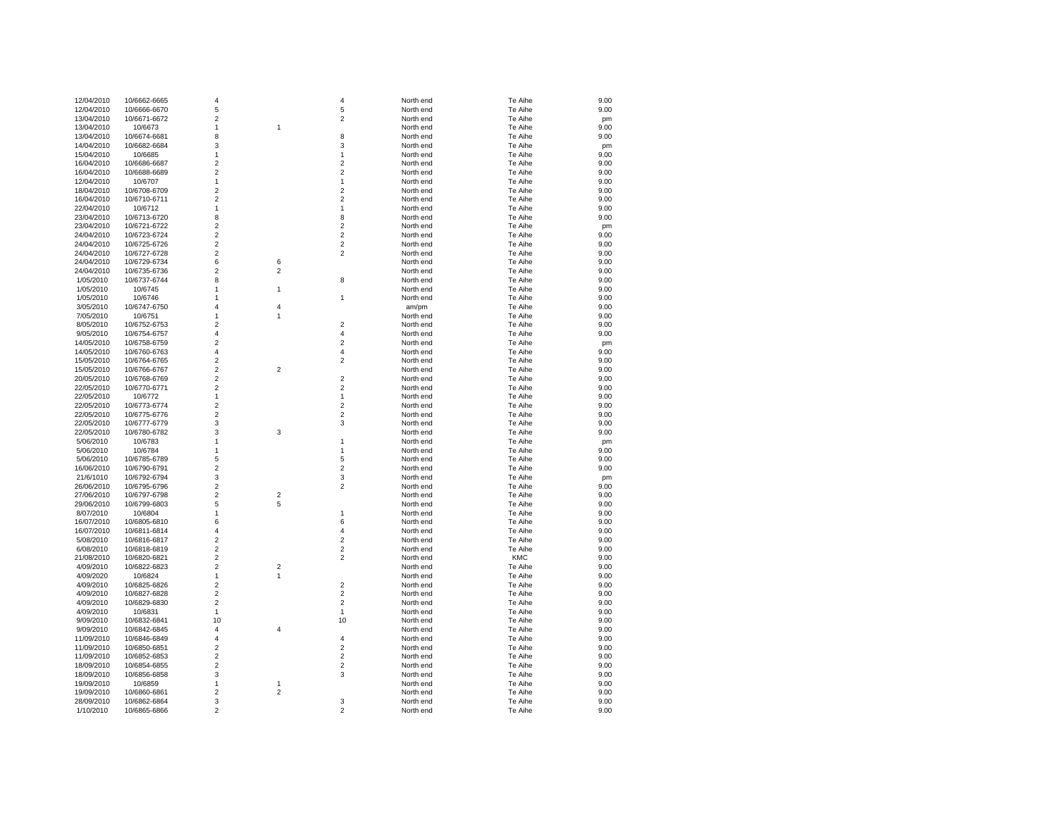| 12/04/2010 | 10/6662-6665 | $\overline{4}$          |                | 4                       | North end | Te Aihe | 9.00 |
|------------|--------------|-------------------------|----------------|-------------------------|-----------|---------|------|
| 12/04/2010 | 10/6666-6670 | 5                       |                | 5                       | North end | Te Aihe | 9.00 |
|            |              | $\overline{c}$          |                | $\overline{c}$          |           |         |      |
| 13/04/2010 | 10/6671-6672 |                         |                |                         | North end | Te Aihe | pm   |
| 13/04/2010 | 10/6673      | 1                       | 1              |                         | North end | Te Aihe | 9.00 |
| 13/04/2010 | 10/6674-6681 | 8                       |                | 8                       | North end | Te Aihe | 9.00 |
| 14/04/2010 | 10/6682-6684 | 3                       |                | 3                       | North end | Te Aihe | pm   |
| 15/04/2010 | 10/6685      | 1                       |                | 1                       | North end | Te Aihe | 9.00 |
| 16/04/2010 | 10/6686-6687 | $\overline{c}$          |                | $\overline{\mathbf{c}}$ | North end | Te Aihe | 9.00 |
| 16/04/2010 | 10/6688-6689 | $\overline{c}$          |                | $\overline{\mathbf{c}}$ | North end | Te Aihe | 9.00 |
|            |              |                         |                |                         |           |         |      |
| 12/04/2010 | 10/6707      | 1                       |                | 1                       | North end | Te Aihe | 9.00 |
| 18/04/2010 | 10/6708-6709 | $\overline{c}$          |                | $\overline{2}$          | North end | Te Aihe | 9.00 |
| 16/04/2010 | 10/6710-6711 | $\overline{c}$          |                | $\overline{\mathbf{c}}$ | North end | Te Aihe | 9.00 |
| 22/04/2010 | 10/6712      | $\mathbf{1}$            |                | 1                       | North end | Te Aihe | 9.00 |
| 23/04/2010 | 10/6713-6720 | 8                       |                | 8                       | North end | Te Aihe | 9.00 |
| 23/04/2010 | 10/6721-6722 | $\overline{2}$          |                | $\overline{\mathbf{c}}$ | North end | Te Aihe |      |
|            |              |                         |                |                         |           |         | pm   |
| 24/04/2010 | 10/6723-6724 | $\overline{2}$          |                | $\overline{c}$          | North end | Te Aihe | 9.00 |
| 24/04/2010 | 10/6725-6726 | $\overline{2}$          |                | $\overline{2}$          | North end | Te Aihe | 9.00 |
| 24/04/2010 | 10/6727-6728 | $\overline{\mathbf{c}}$ |                | $\overline{c}$          | North end | Te Aihe | 9.00 |
| 24/04/2010 | 10/6729-6734 | 6                       | 6              |                         | North end | Te Aihe | 9.00 |
| 24/04/2010 | 10/6735-6736 | $\overline{2}$          | $\overline{2}$ |                         | North end | Te Aihe | 9.00 |
| 1/05/2010  | 10/6737-6744 | 8                       |                | 8                       | North end | Te Aihe | 9.00 |
|            |              | $\mathbf{1}$            | 1              |                         | North end | Te Aihe | 9.00 |
| 1/05/2010  | 10/6745      |                         |                |                         |           |         |      |
| 1/05/2010  | 10/6746      | $\mathbf{1}$            |                | 1                       | North end | Te Aihe | 9.00 |
| 3/05/2010  | 10/6747-6750 | $\overline{4}$          | 4              |                         | am/pm     | Te Aihe | 9.00 |
| 7/05/2010  | 10/6751      | $\mathbf{1}$            | 1              |                         | North end | Te Aihe | 9.00 |
| 8/05/2010  | 10/6752-6753 | 2                       |                | $\overline{2}$          | North end | Te Aihe | 9.00 |
| 9/05/2010  | 10/6754-6757 | 4                       |                | 4                       | North end | Te Aihe | 9.00 |
|            |              | $\overline{2}$          |                | $\overline{c}$          | North end |         |      |
| 14/05/2010 | 10/6758-6759 |                         |                |                         |           | Te Aihe | pm   |
| 14/05/2010 | 10/6760-6763 | $\overline{\mathbf{4}}$ |                | 4                       | North end | Te Aihe | 9.00 |
| 15/05/2010 | 10/6764-6765 | $\overline{c}$          |                | $\overline{\mathbf{c}}$ | North end | Te Aihe | 9.00 |
| 15/05/2010 | 10/6766-6767 | $\overline{c}$          | 2              |                         | North end | Te Aihe | 9.00 |
| 20/05/2010 | 10/6768-6769 | $\overline{c}$          |                | $\overline{\mathbf{c}}$ | North end | Te Aihe | 9.00 |
| 22/05/2010 | 10/6770-6771 | $\overline{2}$          |                | $\overline{2}$          | North end | Te Aihe | 9.00 |
| 22/05/2010 | 10/6772      | 1                       |                | 1                       | North end | Te Aihe | 9.00 |
|            |              |                         |                |                         |           |         |      |
| 22/05/2010 | 10/6773-6774 | $\overline{2}$          |                | $\overline{\mathbf{c}}$ | North end | Te Aihe | 9.00 |
| 22/05/2010 | 10/6775-6776 | $\overline{2}$          |                | $\overline{2}$          | North end | Te Aihe | 9.00 |
| 22/05/2010 | 10/6777-6779 | 3                       |                | 3                       | North end | Te Aihe | 9.00 |
| 22/05/2010 | 10/6780-6782 | 3                       | 3              |                         | North end | Te Aihe | 9.00 |
| 5/06/2010  | 10/6783      | $\mathbf{1}$            |                | 1                       | North end | Te Aihe | pm   |
| 5/06/2010  | 10/6784      | 1                       |                | 1                       | North end | Te Aihe | 9.00 |
|            |              |                         |                |                         |           |         |      |
| 5/06/2010  | 10/6785-6789 | 5                       |                | 5                       | North end | Te Aihe | 9.00 |
| 16/06/2010 | 10/6790-6791 | $\overline{2}$          |                | $\overline{2}$          | North end | Te Aihe | 9.00 |
| 21/6/1010  | 10/6792-6794 | 3                       |                | 3                       | North end | Te Aihe | pm   |
| 26/06/2010 | 10/6795-6796 | $\overline{c}$          |                | $\overline{2}$          | North end | Te Aihe | 9.00 |
| 27/06/2010 | 10/6797-6798 | $\overline{2}$          | 2              |                         | North end | Te Aihe | 9.00 |
| 29/06/2010 | 10/6799-6803 | 5                       | 5              |                         | North end | Te Aihe | 9.00 |
| 8/07/2010  | 10/6804      | $\mathbf{1}$            |                | 1                       | North end | Te Aihe | 9.00 |
|            |              |                         |                |                         |           |         |      |
| 16/07/2010 | 10/6805-6810 | 6                       |                | 6                       | North end | Te Aihe | 9.00 |
| 16/07/2010 | 10/6811-6814 | $\overline{4}$          |                | 4                       | North end | Te Aihe | 9.00 |
| 5/08/2010  | 10/6816-6817 | $\overline{c}$          |                | $\overline{\mathbf{c}}$ | North end | Te Aihe | 9.00 |
| 6/08/2010  | 10/6818-6819 | $\overline{2}$          |                | $\overline{c}$          | North end | Te Aihe | 9.00 |
| 21/08/2010 | 10/6820-6821 | $\mathbf 2$             |                | $\overline{c}$          | North end | KMC     | 9.00 |
| 4/09/2010  | 10/6822-6823 | $\overline{2}$          | 2              |                         | North end | Te Aihe | 9.00 |
|            |              |                         |                |                         |           |         |      |
| 4/09/2020  | 10/6824      | 1                       | 1              |                         | North end | Te Aihe | 9.00 |
| 4/09/2010  | 10/6825-6826 | $\overline{2}$          |                | $\overline{2}$          | North end | Te Aihe | 9.00 |
| 4/09/2010  | 10/6827-6828 | $\overline{c}$          |                | $\overline{\mathbf{c}}$ | North end | Te Aihe | 9.00 |
| 4/09/2010  | 10/6829-6830 | $\overline{2}$          |                | $\overline{\mathbf{c}}$ | North end | Te Aihe | 9.00 |
| 4/09/2010  | 10/6831      | 1                       |                | 1                       | North end | Te Aihe | 9.00 |
| 9/09/2010  | 10/6832-6841 | 10                      |                | 10                      | North end | Te Aihe | 9.00 |
|            |              | 4                       |                |                         |           |         |      |
| 9/09/2010  | 10/6842-6845 |                         | 4              |                         | North end | Te Aihe | 9.00 |
| 11/09/2010 | 10/6846-6849 | $\overline{4}$          |                | $\overline{\mathbf{4}}$ | North end | Te Aihe | 9.00 |
| 11/09/2010 | 10/6850-6851 | $\overline{2}$          |                | $\overline{c}$          | North end | Te Aihe | 9.00 |
| 11/09/2010 | 10/6852-6853 | $\overline{2}$          |                | $\overline{2}$          | North end | Te Aihe | 9.00 |
| 18/09/2010 | 10/6854-6855 | $\overline{\mathbf{c}}$ |                | $\overline{\mathbf{c}}$ | North end | Te Aihe | 9.00 |
| 18/09/2010 | 10/6856-6858 | 3                       |                | 3                       | North end | Te Aihe | 9.00 |
| 19/09/2010 | 10/6859      | $\mathbf{1}$            | 1              |                         | North end | Te Aihe | 9.00 |
|            |              | $\overline{2}$          |                |                         |           |         |      |
| 19/09/2010 | 10/6860-6861 |                         | 2              |                         | North end | Te Aihe | 9.00 |
| 28/09/2010 | 10/6862-6864 | 3                       |                | 3                       | North end | Te Aihe | 9.00 |
| 1/10/2010  | 10/6865-6866 | $\overline{2}$          |                | $\overline{2}$          | North end | Te Aihe | 9.00 |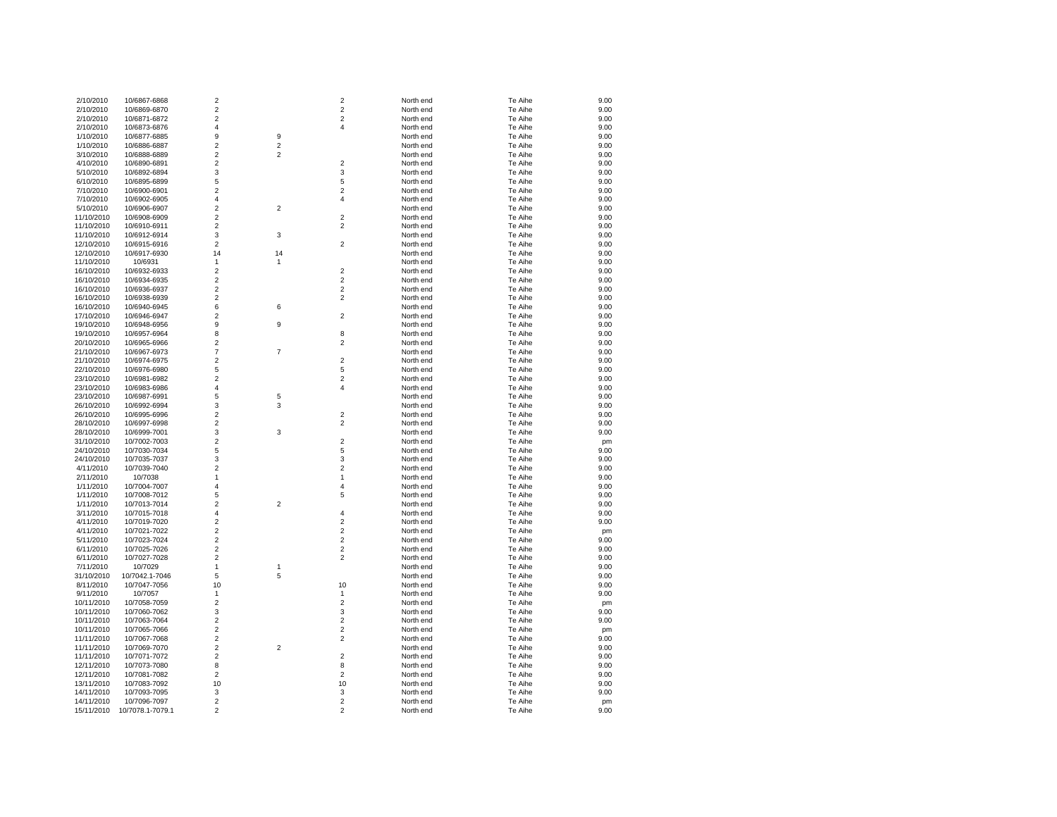| 2/10/2010  | 10/6867-6868     | $\overline{2}$          |                         | $\overline{2}$   | North end | Te Aihe | 9.00 |
|------------|------------------|-------------------------|-------------------------|------------------|-----------|---------|------|
| 2/10/2010  | 10/6869-6870     | $\overline{\mathbf{c}}$ |                         | $\mathbf 2$      | North end | Te Aihe | 9.00 |
| 2/10/2010  | 10/6871-6872     | $\overline{2}$          |                         | $\overline{2}$   | North end | Te Aihe | 9.00 |
| 2/10/2010  | 10/6873-6876     | 4                       |                         | 4                | North end | Te Aihe | 9.00 |
| 1/10/2010  | 10/6877-6885     | 9                       | 9                       |                  | North end | Te Aihe | 9.00 |
| 1/10/2010  | 10/6886-6887     | $\overline{c}$          | $\overline{c}$          |                  | North end | Te Aihe | 9.00 |
| 3/10/2010  | 10/6888-6889     | $\overline{2}$          | $\overline{2}$          |                  | North end | Te Aihe | 9.00 |
| 4/10/2010  |                  | $\overline{2}$          |                         | $\overline{2}$   | North end | Te Aihe | 9.00 |
|            | 10/6890-6891     |                         |                         |                  |           |         |      |
| 5/10/2010  | 10/6892-6894     | 3                       |                         | 3                | North end | Te Aihe | 9.00 |
| 6/10/2010  | 10/6895-6899     | 5                       |                         | 5                | North end | Te Aihe | 9.00 |
| 7/10/2010  | 10/6900-6901     | $\overline{2}$          |                         | $\overline{2}$   | North end | Te Aihe | 9.00 |
| 7/10/2010  | 10/6902-6905     | $\overline{\mathbf{4}}$ |                         | 4                | North end | Te Aihe | 9.00 |
| 5/10/2010  | 10/6906-6907     | $\overline{2}$          | $\overline{\mathbf{c}}$ |                  | North end | Te Aihe | 9.00 |
| 11/10/2010 | 10/6908-6909     | $\overline{c}$          |                         | $\overline{2}$   | North end | Te Aihe | 9.00 |
| 11/10/2010 | 10/6910-6911     | $\overline{\mathbf{c}}$ |                         | $\boldsymbol{2}$ | North end | Te Aihe | 9.00 |
| 11/10/2010 | 10/6912-6914     | 3                       | 3                       |                  | North end | Te Aihe | 9.00 |
| 12/10/2010 | 10/6915-6916     | 2                       |                         | $\overline{2}$   | North end | Te Aihe | 9.00 |
| 12/10/2010 | 10/6917-6930     | 14                      | 14                      |                  | North end | Te Aihe | 9.00 |
| 11/10/2010 | 10/6931          | 1                       | 1                       |                  | North end | Te Aihe | 9.00 |
| 16/10/2010 | 10/6932-6933     | $\overline{2}$          |                         | $\overline{2}$   | North end | Te Aihe | 9.00 |
|            |                  | $\overline{2}$          |                         | $\overline{2}$   |           |         |      |
| 16/10/2010 | 10/6934-6935     |                         |                         |                  | North end | Te Aihe | 9.00 |
| 16/10/2010 | 10/6936-6937     | $\overline{2}$          |                         | $\overline{2}$   | North end | Te Aihe | 9.00 |
| 16/10/2010 | 10/6938-6939     | $\overline{2}$          |                         | $\overline{2}$   | North end | Te Aihe | 9.00 |
| 16/10/2010 | 10/6940-6945     | 6                       | 6                       |                  | North end | Te Aihe | 9.00 |
| 17/10/2010 | 10/6946-6947     | $\overline{2}$          |                         | $\overline{2}$   | North end | Te Aihe | 9.00 |
| 19/10/2010 | 10/6948-6956     | 9                       | 9                       |                  | North end | Te Aihe | 9.00 |
| 19/10/2010 | 10/6957-6964     | 8                       |                         | 8                | North end | Te Aihe | 9.00 |
| 20/10/2010 | 10/6965-6966     | $\overline{\mathbf{c}}$ |                         | $\overline{2}$   | North end | Te Aihe | 9.00 |
| 21/10/2010 | 10/6967-6973     | $\overline{7}$          | $\overline{7}$          |                  | North end | Te Aihe | 9.00 |
| 21/10/2010 | 10/6974-6975     | $\overline{c}$          |                         | $\overline{2}$   | North end | Te Aihe | 9.00 |
| 22/10/2010 | 10/6976-6980     | 5                       |                         | 5                | North end | Te Aihe | 9.00 |
| 23/10/2010 | 10/6981-6982     | $\overline{c}$          |                         | $\overline{2}$   | North end | Te Aihe | 9.00 |
| 23/10/2010 | 10/6983-6986     | 4                       |                         | 4                | North end | Te Aihe | 9.00 |
|            |                  |                         |                         |                  |           |         |      |
| 23/10/2010 | 10/6987-6991     | 5                       | 5                       |                  | North end | Te Aihe | 9.00 |
| 26/10/2010 | 10/6992-6994     | 3                       | 3                       |                  | North end | Te Aihe | 9.00 |
| 26/10/2010 | 10/6995-6996     | $\overline{2}$          |                         | $\overline{2}$   | North end | Te Aihe | 9.00 |
| 28/10/2010 | 10/6997-6998     | $\overline{2}$          |                         | $\overline{2}$   | North end | Te Aihe | 9.00 |
| 28/10/2010 | 10/6999-7001     | 3                       | 3                       |                  | North end | Te Aihe | 9.00 |
| 31/10/2010 | 10/7002-7003     | $\overline{\mathbf{c}}$ |                         | $\overline{2}$   | North end | Te Aihe | pm   |
| 24/10/2010 | 10/7030-7034     | 5                       |                         | 5                | North end | Te Aihe | 9.00 |
| 24/10/2010 | 10/7035-7037     | 3                       |                         | 3                | North end | Te Aihe | 9.00 |
| 4/11/2010  | 10/7039-7040     | $\overline{c}$          |                         | $\overline{2}$   | North end | Te Aihe | 9.00 |
| 2/11/2010  | 10/7038          | $\mathbf{1}$            |                         | $\mathbf{1}$     | North end | Te Aihe | 9.00 |
| 1/11/2010  | 10/7004-7007     | $\overline{\mathbf{4}}$ |                         | $\overline{4}$   | North end | Te Aihe | 9.00 |
| 1/11/2010  | 10/7008-7012     | 5                       |                         | 5                | North end | Te Aihe | 9.00 |
| 1/11/2010  | 10/7013-7014     | $\overline{\mathbf{c}}$ | $\boldsymbol{2}$        |                  | North end | Te Aihe | 9.00 |
| 3/11/2010  | 10/7015-7018     | 4                       |                         | 4                | North end | Te Aihe | 9.00 |
| 4/11/2010  | 10/7019-7020     | $\overline{2}$          |                         | $\overline{2}$   | North end | Te Aihe | 9.00 |
| 4/11/2010  | 10/7021-7022     | $\overline{2}$          |                         | $\overline{2}$   | North end | Te Aihe |      |
|            |                  | $\mathbf 2$             |                         | $\mathbf 2$      |           |         | pm   |
| 5/11/2010  | 10/7023-7024     |                         |                         |                  | North end | Te Aihe | 9.00 |
| 6/11/2010  | 10/7025-7026     | $\overline{2}$          |                         | $\overline{2}$   | North end | Te Aihe | 9.00 |
| 6/11/2010  | 10/7027-7028     | $\mathbf 2$             |                         | $\overline{2}$   | North end | Te Aihe | 9.00 |
| 7/11/2010  | 10/7029          | $\mathbf{1}$            | 1                       |                  | North end | Te Aihe | 9.00 |
| 31/10/2010 | 10/7042.1-7046   | 5                       | 5                       |                  | North end | Te Aihe | 9.00 |
| 8/11/2010  | 10/7047-7056     | 10                      |                         | 10               | North end | Te Aihe | 9.00 |
| 9/11/2010  | 10/7057          | 1                       |                         | 1                | North end | Te Aihe | 9.00 |
| 10/11/2010 | 10/7058-7059     | $\overline{2}$          |                         | $\overline{2}$   | North end | Te Aihe | pm   |
| 10/11/2010 | 10/7060-7062     | 3                       |                         | 3                | North end | Te Aihe | 9.00 |
| 10/11/2010 | 10/7063-7064     | $\overline{2}$          |                         | $\overline{2}$   | North end | Te Aihe | 9.00 |
| 10/11/2010 | 10/7065-7066     | $\overline{2}$          |                         | $\overline{2}$   | North end | Te Aihe | pm   |
| 11/11/2010 | 10/7067-7068     | $\overline{2}$          |                         | $\overline{2}$   | North end | Te Aihe | 9.00 |
| 11/11/2010 | 10/7069-7070     | $\overline{2}$          | $\overline{2}$          |                  | North end | Te Aihe | 9.00 |
| 11/11/2010 | 10/7071-7072     | $\overline{2}$          |                         | $\overline{2}$   | North end | Te Aihe | 9.00 |
| 12/11/2010 | 10/7073-7080     | 8                       |                         | 8                | North end | Te Aihe | 9.00 |
| 12/11/2010 | 10/7081-7082     | $\overline{2}$          |                         | $\overline{2}$   | North end | Te Aihe | 9.00 |
| 13/11/2010 | 10/7083-7092     | 10                      |                         | 10               | North end | Te Aihe |      |
|            |                  |                         |                         |                  |           |         | 9.00 |
| 14/11/2010 | 10/7093-7095     | 3                       |                         | 3                | North end | Te Aihe | 9.00 |
| 14/11/2010 | 10/7096-7097     | $\overline{2}$          |                         | $\overline{2}$   | North end | Te Aihe | pm   |
| 15/11/2010 | 10/7078.1-7079.1 | 2                       |                         | $\overline{2}$   | North end | Te Aihe | 9.00 |